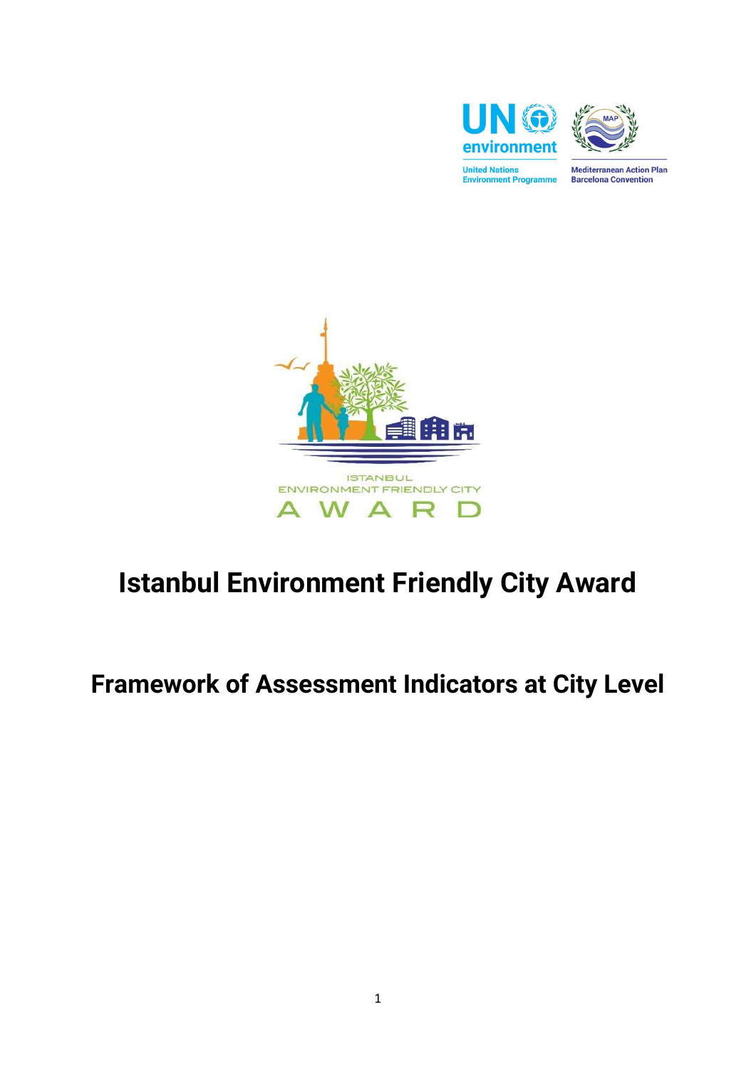



**Mediterranean Action Plan Barcelona Convention** 



## **Istanbul Environment Friendly City Award**

## **Framework of Assessment Indicators at City Level**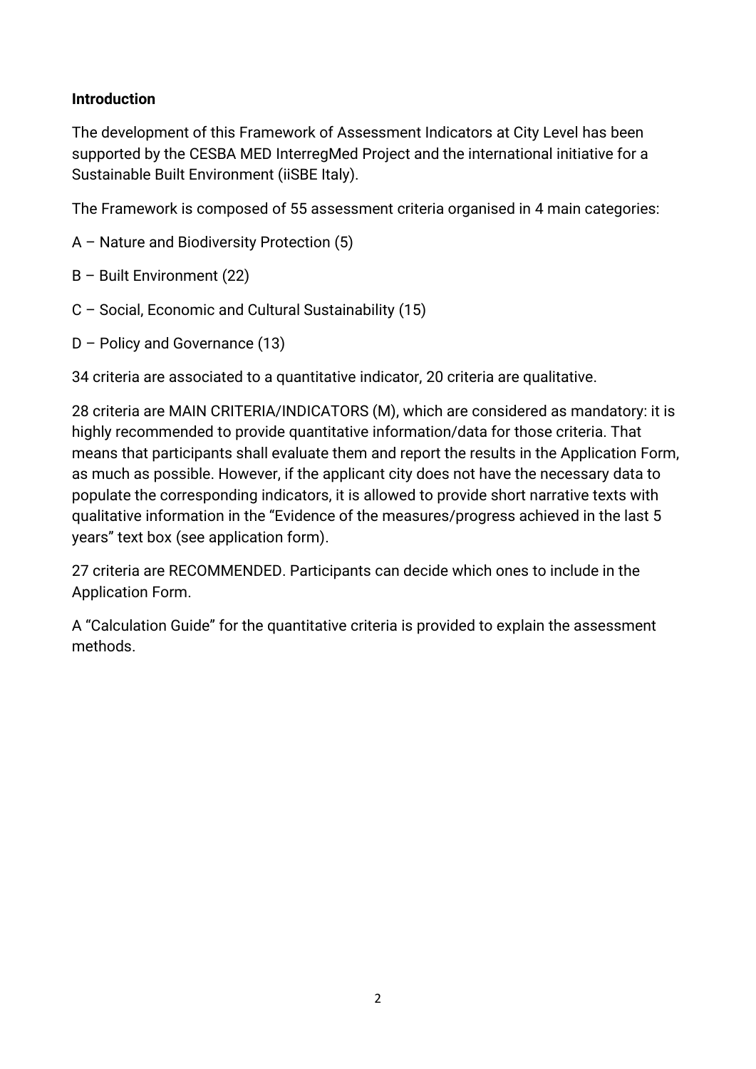## **Introduction**

The development of this Framework of Assessment Indicators at City Level has been supported by the CESBA MED InterregMed Project and the international initiative for a Sustainable Built Environment (iiSBE Italy).

The Framework is composed of 55 assessment criteria organised in 4 main categories:

- A Nature and Biodiversity Protection (5)
- B Built Environment (22)
- C Social, Economic and Cultural Sustainability (15)
- D Policy and Governance (13)

34 criteria are associated to a quantitative indicator, 20 criteria are qualitative.

28 criteria are MAIN CRITERIA/INDICATORS (M), which are considered as mandatory: it is highly recommended to provide quantitative information/data for those criteria. That means that participants shall evaluate them and report the results in the Application Form, as much as possible. However, if the applicant city does not have the necessary data to populate the corresponding indicators, it is allowed to provide short narrative texts with qualitative information in the "Evidence of the measures/progress achieved in the last 5 years" text box (see application form).

27 criteria are RECOMMENDED. Participants can decide which ones to include in the Application Form.

A "Calculation Guide" for the quantitative criteria is provided to explain the assessment methods.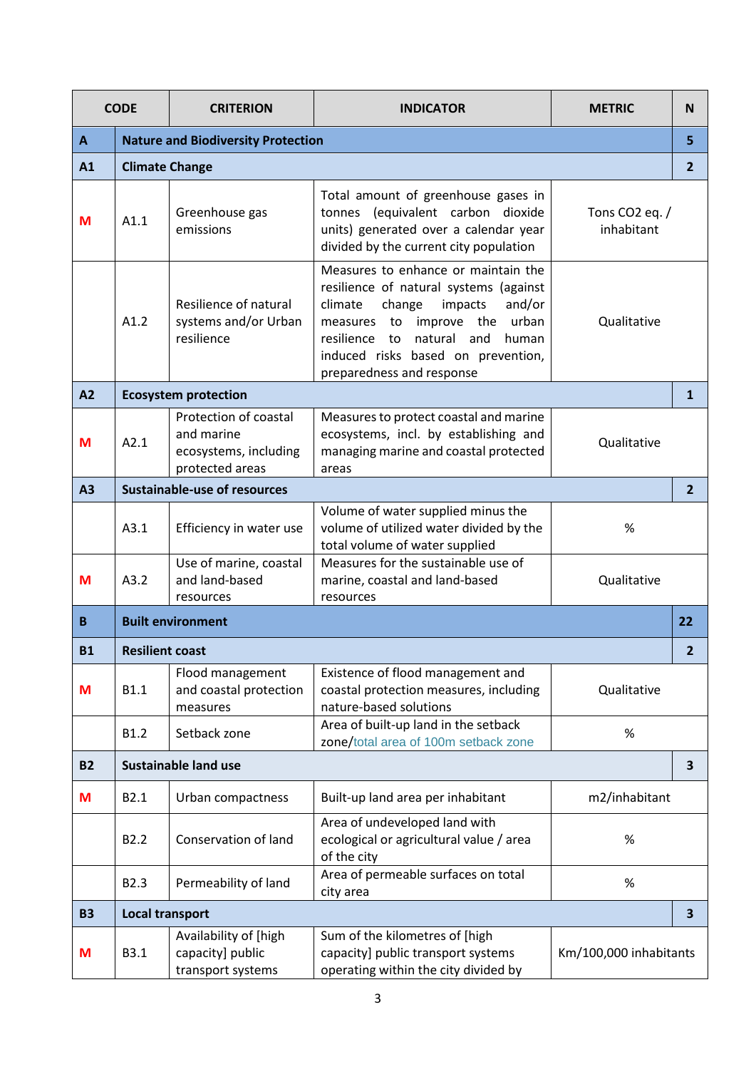| <b>CODE</b>    |                                           | <b>CRITERION</b>                                                                | <b>INDICATOR</b>                                                                                                                                                                                                                                                        | <b>METRIC</b>                              | N                       |
|----------------|-------------------------------------------|---------------------------------------------------------------------------------|-------------------------------------------------------------------------------------------------------------------------------------------------------------------------------------------------------------------------------------------------------------------------|--------------------------------------------|-------------------------|
| $\mathbf{A}$   | <b>Nature and Biodiversity Protection</b> |                                                                                 |                                                                                                                                                                                                                                                                         | 5                                          |                         |
| A1             | <b>Climate Change</b>                     |                                                                                 |                                                                                                                                                                                                                                                                         |                                            | $\overline{2}$          |
| M              | A1.1                                      | Greenhouse gas<br>emissions                                                     | Total amount of greenhouse gases in<br>tonnes (equivalent carbon dioxide<br>units) generated over a calendar year<br>divided by the current city population                                                                                                             | Tons CO <sub>2</sub> eq. $/$<br>inhabitant |                         |
|                | A1.2                                      | Resilience of natural<br>systems and/or Urban<br>resilience                     | Measures to enhance or maintain the<br>resilience of natural systems (against<br>and/or<br>climate<br>change<br>impacts<br>improve the urban<br>measures to<br>resilience to<br>natural and<br>human<br>induced risks based on prevention,<br>preparedness and response | Qualitative                                |                         |
| A <sub>2</sub> |                                           | <b>Ecosystem protection</b>                                                     |                                                                                                                                                                                                                                                                         |                                            | $\mathbf{1}$            |
| M              | A2.1                                      | Protection of coastal<br>and marine<br>ecosystems, including<br>protected areas | Measures to protect coastal and marine<br>ecosystems, incl. by establishing and<br>managing marine and coastal protected<br>areas                                                                                                                                       | Qualitative                                |                         |
| A <sub>3</sub> | <b>Sustainable-use of resources</b>       |                                                                                 |                                                                                                                                                                                                                                                                         | $\overline{2}$                             |                         |
|                | A3.1                                      | Efficiency in water use                                                         | Volume of water supplied minus the<br>volume of utilized water divided by the<br>total volume of water supplied                                                                                                                                                         | %                                          |                         |
| M              | A3.2                                      | Use of marine, coastal<br>and land-based<br>resources                           | Measures for the sustainable use of<br>marine, coastal and land-based<br>resources                                                                                                                                                                                      | Qualitative                                |                         |
| B              |                                           | <b>Built environment</b>                                                        |                                                                                                                                                                                                                                                                         |                                            | 22                      |
| <b>B1</b>      | <b>Resilient coast</b>                    |                                                                                 |                                                                                                                                                                                                                                                                         |                                            | $\overline{2}$          |
| M              | <b>B1.1</b>                               | Flood management<br>and coastal protection<br>measures                          | Existence of flood management and<br>coastal protection measures, including<br>nature-based solutions                                                                                                                                                                   | Qualitative                                |                         |
|                | B1.2                                      | Setback zone                                                                    | Area of built-up land in the setback<br>zone/total area of 100m setback zone                                                                                                                                                                                            | %                                          |                         |
| <b>B2</b>      |                                           | <b>Sustainable land use</b>                                                     |                                                                                                                                                                                                                                                                         |                                            | 3                       |
| M              | B2.1                                      | Urban compactness                                                               | Built-up land area per inhabitant                                                                                                                                                                                                                                       | m2/inhabitant                              |                         |
|                | B <sub>2.2</sub>                          | Conservation of land                                                            | Area of undeveloped land with<br>ecological or agricultural value / area<br>of the city                                                                                                                                                                                 | %                                          |                         |
|                | B2.3                                      | Permeability of land                                                            | Area of permeable surfaces on total<br>city area                                                                                                                                                                                                                        | $\%$                                       |                         |
| <b>B3</b>      | <b>Local transport</b>                    |                                                                                 |                                                                                                                                                                                                                                                                         |                                            | $\overline{\mathbf{3}}$ |
| M              | B3.1                                      | Availability of [high<br>capacity] public<br>transport systems                  | Sum of the kilometres of [high<br>capacity] public transport systems<br>operating within the city divided by                                                                                                                                                            | Km/100,000 inhabitants                     |                         |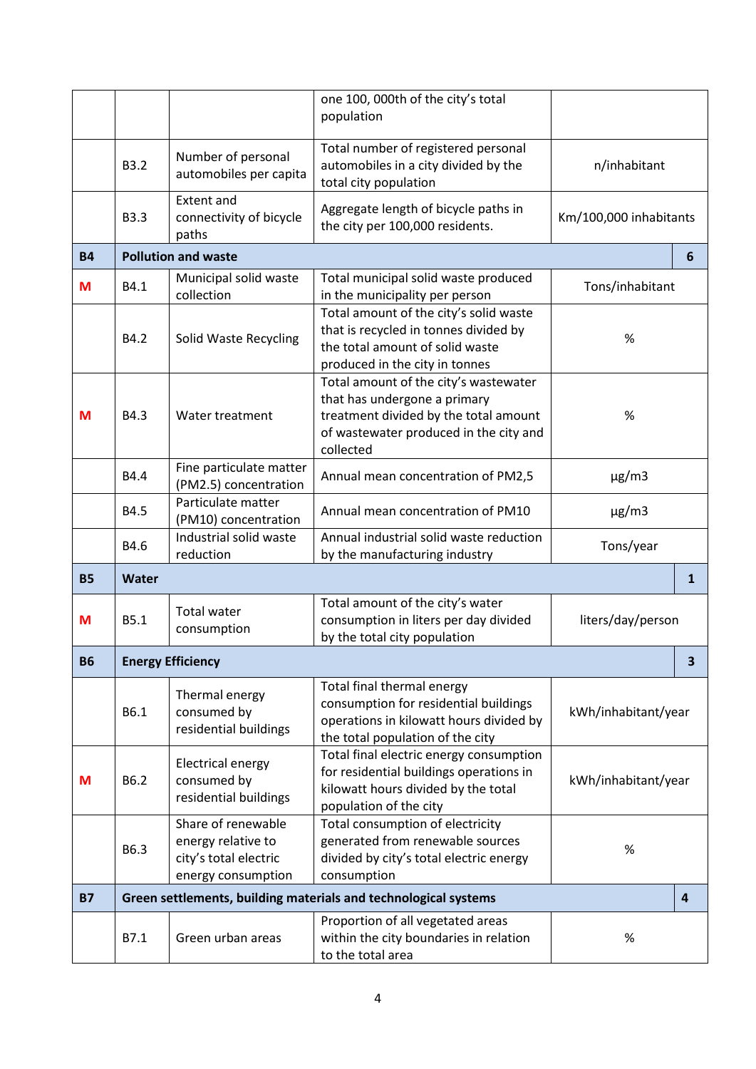|           |              |                                                                                         | one 100, 000th of the city's total<br>population                                                                                                                      |                        |              |
|-----------|--------------|-----------------------------------------------------------------------------------------|-----------------------------------------------------------------------------------------------------------------------------------------------------------------------|------------------------|--------------|
|           | <b>B3.2</b>  | Number of personal<br>automobiles per capita                                            | Total number of registered personal<br>automobiles in a city divided by the<br>total city population                                                                  | n/inhabitant           |              |
|           | <b>B3.3</b>  | <b>Extent and</b><br>connectivity of bicycle<br>paths                                   | Aggregate length of bicycle paths in<br>the city per 100,000 residents.                                                                                               | Km/100,000 inhabitants |              |
| <b>B4</b> |              | <b>Pollution and waste</b>                                                              |                                                                                                                                                                       |                        | 6            |
| M         | B4.1         | Municipal solid waste<br>collection                                                     | Total municipal solid waste produced<br>in the municipality per person                                                                                                | Tons/inhabitant        |              |
|           | B4.2         | Solid Waste Recycling                                                                   | Total amount of the city's solid waste<br>that is recycled in tonnes divided by<br>the total amount of solid waste<br>produced in the city in tonnes                  | $\%$                   |              |
| M         | B4.3         | Water treatment                                                                         | Total amount of the city's wastewater<br>that has undergone a primary<br>treatment divided by the total amount<br>of wastewater produced in the city and<br>collected | %                      |              |
|           | B4.4         | Fine particulate matter<br>(PM2.5) concentration                                        | Annual mean concentration of PM2,5                                                                                                                                    | $\mu$ g/m3             |              |
|           | B4.5         | Particulate matter<br>(PM10) concentration                                              | Annual mean concentration of PM10                                                                                                                                     | $\mu$ g/m3             |              |
|           | B4.6         | Industrial solid waste<br>reduction                                                     | Annual industrial solid waste reduction<br>by the manufacturing industry                                                                                              | Tons/year              |              |
| <b>B5</b> | <b>Water</b> |                                                                                         |                                                                                                                                                                       |                        | $\mathbf{1}$ |
| М         | B5.1         | <b>Total water</b><br>consumption                                                       | Total amount of the city's water<br>consumption in liters per day divided<br>by the total city population                                                             | liters/day/person      |              |
| <b>B6</b> |              | <b>Energy Efficiency</b>                                                                |                                                                                                                                                                       |                        | З            |
|           | B6.1         | Thermal energy<br>consumed by<br>residential buildings                                  | Total final thermal energy<br>consumption for residential buildings<br>operations in kilowatt hours divided by<br>the total population of the city                    | kWh/inhabitant/year    |              |
| M         | B6.2         | <b>Electrical energy</b><br>consumed by<br>residential buildings                        | Total final electric energy consumption<br>for residential buildings operations in<br>kilowatt hours divided by the total<br>population of the city                   | kWh/inhabitant/year    |              |
|           | B6.3         | Share of renewable<br>energy relative to<br>city's total electric<br>energy consumption | Total consumption of electricity<br>generated from renewable sources<br>divided by city's total electric energy<br>consumption                                        | $\%$                   |              |
| <b>B7</b> |              |                                                                                         | Green settlements, building materials and technological systems                                                                                                       |                        | 4            |
|           | B7.1         | Green urban areas                                                                       | Proportion of all vegetated areas<br>within the city boundaries in relation<br>to the total area                                                                      | $\%$                   |              |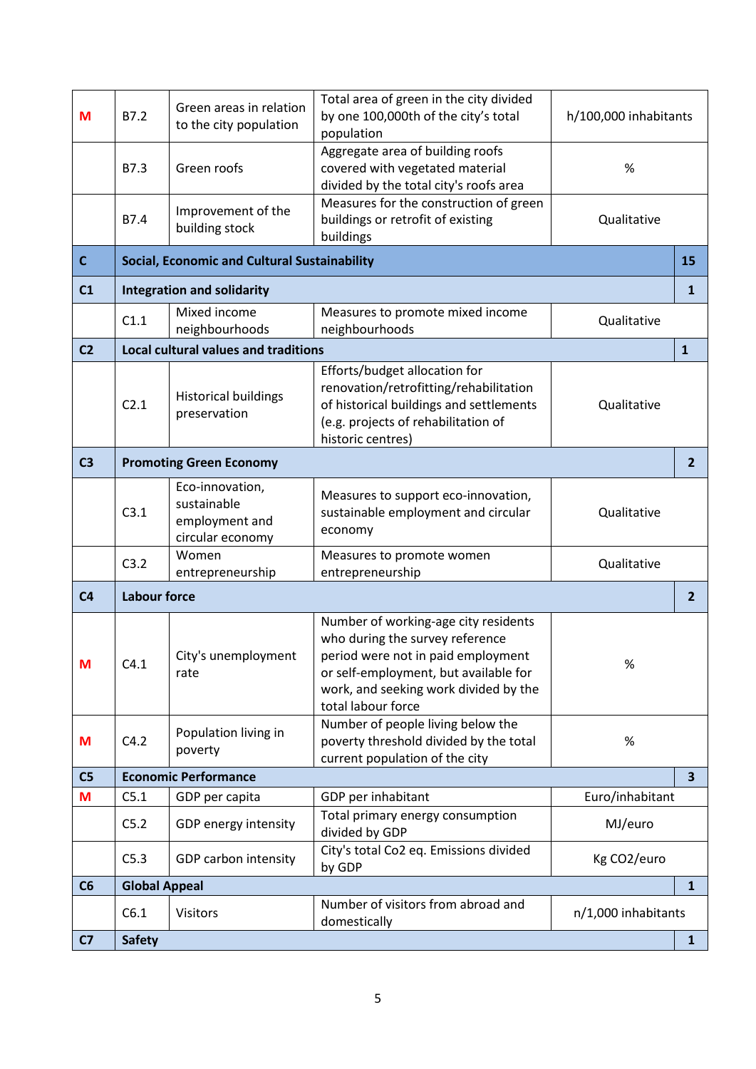| M              | B7.2                          | Green areas in relation<br>to the city population                    | Total area of green in the city divided<br>by one 100,000th of the city's total<br>population                                                                                                                         | h/100,000 inhabitants |                |
|----------------|-------------------------------|----------------------------------------------------------------------|-----------------------------------------------------------------------------------------------------------------------------------------------------------------------------------------------------------------------|-----------------------|----------------|
|                | B7.3                          | Green roofs                                                          | Aggregate area of building roofs<br>covered with vegetated material<br>divided by the total city's roofs area                                                                                                         | %                     |                |
|                | B7.4                          | Improvement of the<br>building stock                                 | Measures for the construction of green<br>buildings or retrofit of existing<br>buildings                                                                                                                              | Qualitative           |                |
| $\mathsf{C}$   |                               | <b>Social, Economic and Cultural Sustainability</b>                  |                                                                                                                                                                                                                       |                       | 15             |
| C <sub>1</sub> |                               | <b>Integration and solidarity</b>                                    |                                                                                                                                                                                                                       |                       | 1              |
|                | C1.1                          | Mixed income<br>neighbourhoods                                       | Measures to promote mixed income<br>neighbourhoods                                                                                                                                                                    | Qualitative           |                |
| C <sub>2</sub> |                               | <b>Local cultural values and traditions</b>                          |                                                                                                                                                                                                                       |                       | $\mathbf{1}$   |
|                | C2.1                          | <b>Historical buildings</b><br>preservation                          | Efforts/budget allocation for<br>renovation/retrofitting/rehabilitation<br>of historical buildings and settlements<br>(e.g. projects of rehabilitation of<br>historic centres)                                        | Qualitative           |                |
| C <sub>3</sub> |                               | <b>Promoting Green Economy</b>                                       |                                                                                                                                                                                                                       |                       | $\overline{2}$ |
|                | C3.1                          | Eco-innovation,<br>sustainable<br>employment and<br>circular economy | Measures to support eco-innovation,<br>sustainable employment and circular<br>economy                                                                                                                                 | Qualitative           |                |
|                | C3.2                          | Women<br>entrepreneurship                                            | Measures to promote women<br>entrepreneurship                                                                                                                                                                         | Qualitative           |                |
| C <sub>4</sub> | <b>Labour force</b>           |                                                                      |                                                                                                                                                                                                                       |                       | $\overline{2}$ |
| M              | C4.1                          | City's unemployment<br>rate                                          | Number of working-age city residents<br>who during the survey reference<br>period were not in paid employment<br>or self-employment, but available for<br>work, and seeking work divided by the<br>total labour force | %                     |                |
| M              | C4.2                          | Population living in<br>poverty                                      | Number of people living below the<br>poverty threshold divided by the total<br>current population of the city                                                                                                         | $\%$                  |                |
| C <sub>5</sub> |                               | <b>Economic Performance</b>                                          |                                                                                                                                                                                                                       |                       | 3 <sup>1</sup> |
| M              | C5.1                          | GDP per capita                                                       | GDP per inhabitant                                                                                                                                                                                                    | Euro/inhabitant       |                |
|                | C5.2                          | GDP energy intensity                                                 | Total primary energy consumption<br>divided by GDP                                                                                                                                                                    | MJ/euro               |                |
|                | C5.3                          | GDP carbon intensity                                                 | City's total Co2 eq. Emissions divided<br>by GDP                                                                                                                                                                      | Kg CO2/euro           |                |
| C6             | <b>Global Appeal</b>          |                                                                      |                                                                                                                                                                                                                       |                       | $\mathbf{1}$   |
|                | C6.1                          | <b>Visitors</b>                                                      | Number of visitors from abroad and<br>domestically                                                                                                                                                                    | n/1,000 inhabitants   |                |
| C <sub>7</sub> | <b>Safety</b><br>$\mathbf{1}$ |                                                                      |                                                                                                                                                                                                                       |                       |                |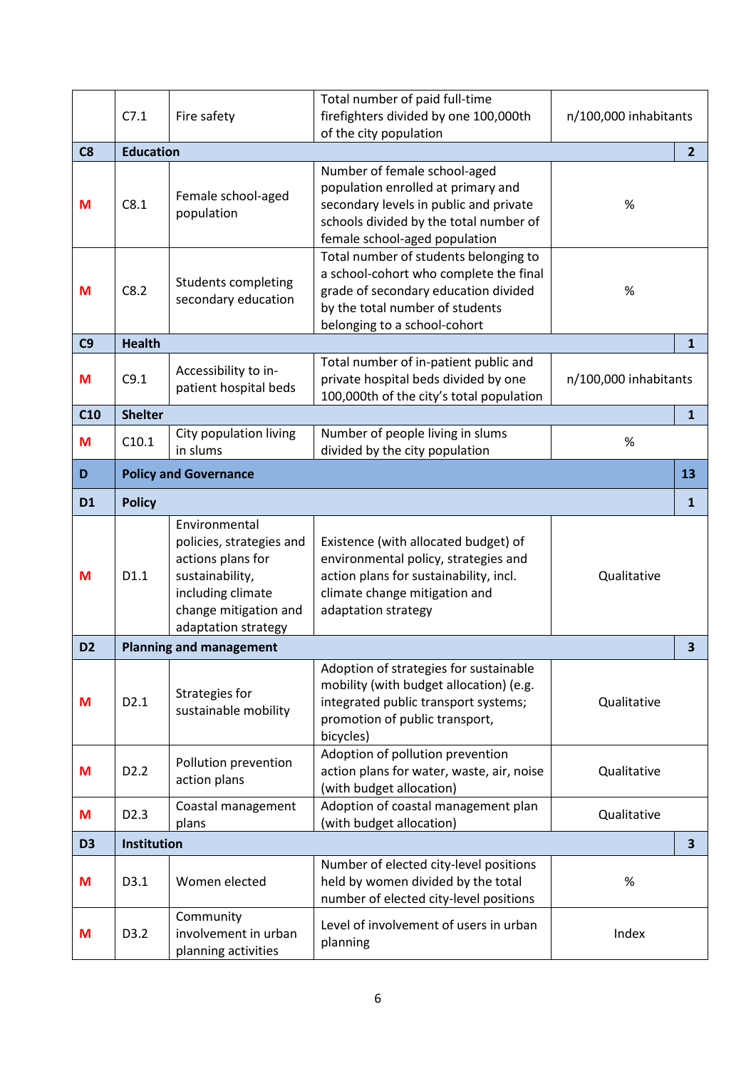|                | C7.1             | Fire safety                                                                                                                                            | Total number of paid full-time<br>firefighters divided by one 100,000th<br>of the city population                                                                                          | n/100,000 inhabitants |                         |
|----------------|------------------|--------------------------------------------------------------------------------------------------------------------------------------------------------|--------------------------------------------------------------------------------------------------------------------------------------------------------------------------------------------|-----------------------|-------------------------|
| C8             | <b>Education</b> |                                                                                                                                                        |                                                                                                                                                                                            |                       | $\overline{2}$          |
| M              | C8.1             | Female school-aged<br>population                                                                                                                       | Number of female school-aged<br>population enrolled at primary and<br>secondary levels in public and private<br>schools divided by the total number of<br>female school-aged population    | $\%$                  |                         |
| M              | C8.2             | Students completing<br>secondary education                                                                                                             | Total number of students belonging to<br>a school-cohort who complete the final<br>grade of secondary education divided<br>by the total number of students<br>belonging to a school-cohort | $\%$                  |                         |
| C9             | <b>Health</b>    |                                                                                                                                                        |                                                                                                                                                                                            |                       | $\mathbf{1}$            |
| M              | C9.1             | Accessibility to in-<br>patient hospital beds                                                                                                          | Total number of in-patient public and<br>private hospital beds divided by one<br>100,000th of the city's total population                                                                  | n/100,000 inhabitants |                         |
| C10            | <b>Shelter</b>   |                                                                                                                                                        |                                                                                                                                                                                            |                       | $\mathbf{1}$            |
| M              | C10.1            | City population living<br>in slums                                                                                                                     | Number of people living in slums<br>divided by the city population                                                                                                                         | $\%$                  |                         |
| D              |                  | <b>Policy and Governance</b>                                                                                                                           |                                                                                                                                                                                            |                       | 13                      |
| D <sub>1</sub> | <b>Policy</b>    |                                                                                                                                                        |                                                                                                                                                                                            |                       | 1                       |
| M              | D1.1             | Environmental<br>policies, strategies and<br>actions plans for<br>sustainability,<br>including climate<br>change mitigation and<br>adaptation strategy | Existence (with allocated budget) of<br>environmental policy, strategies and<br>action plans for sustainability, incl.<br>climate change mitigation and<br>adaptation strategy             | Qualitative           |                         |
| D <sub>2</sub> |                  | <b>Planning and management</b>                                                                                                                         |                                                                                                                                                                                            |                       | 3                       |
| M              | D2.1             | Strategies for<br>sustainable mobility                                                                                                                 | Adoption of strategies for sustainable<br>mobility (with budget allocation) (e.g.<br>integrated public transport systems;<br>promotion of public transport,<br>bicycles)                   | Qualitative           |                         |
| M              | D <sub>2.2</sub> | Pollution prevention<br>action plans                                                                                                                   | Adoption of pollution prevention<br>action plans for water, waste, air, noise<br>(with budget allocation)                                                                                  | Qualitative           |                         |
| M              | D <sub>2.3</sub> | Coastal management<br>plans                                                                                                                            | Adoption of coastal management plan<br>(with budget allocation)                                                                                                                            | Qualitative           |                         |
| D <sub>3</sub> | Institution      |                                                                                                                                                        |                                                                                                                                                                                            |                       | $\overline{\mathbf{3}}$ |
| M              | D3.1             | Women elected                                                                                                                                          | Number of elected city-level positions<br>held by women divided by the total<br>number of elected city-level positions                                                                     | $\%$                  |                         |
| M              | D3.2             | Community<br>involvement in urban<br>planning activities                                                                                               | Level of involvement of users in urban<br>planning                                                                                                                                         | Index                 |                         |